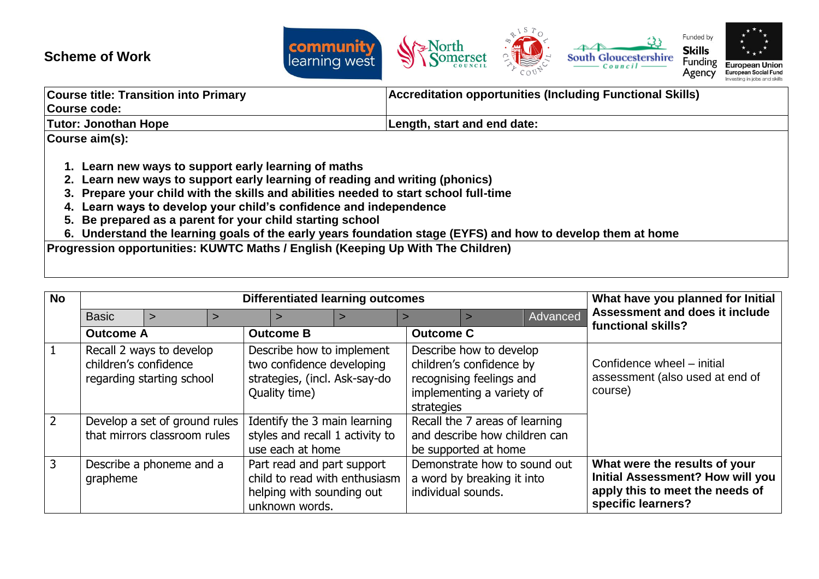## **Scheme of Work**



| <b>Course title: Transition into Primary</b>      | <b>Accreditation opportunities (Including Functional Skills)</b> |  |  |  |  |
|---------------------------------------------------|------------------------------------------------------------------|--|--|--|--|
| Course code:                                      |                                                                  |  |  |  |  |
| Tutor: Jonothan Hope                              | Length, start and end date:                                      |  |  |  |  |
| Course aim(s):                                    |                                                                  |  |  |  |  |
|                                                   |                                                                  |  |  |  |  |
| Learn new ways to support early learning of maths |                                                                  |  |  |  |  |

- **2. Learn new ways to support early learning of reading and writing (phonics)**
- **3. Prepare your child with the skills and abilities needed to start school full-time**
- **4. Learn ways to develop your child's confidence and independence**
- **5. Be prepared as a parent for your child starting school**
- **6. Understand the learning goals of the early years foundation stage (EYFS) and how to develop them at home**

**Progression opportunities: KUWTC Maths / English (Keeping Up With The Children)**

| <b>No</b>      | <b>Differentiated learning outcomes</b>                                        |  |  |  |                                                                                                          |                                                                 |                                                                                                                            | What have you planned for Initial                                                       |  |                                                                                                                                   |
|----------------|--------------------------------------------------------------------------------|--|--|--|----------------------------------------------------------------------------------------------------------|-----------------------------------------------------------------|----------------------------------------------------------------------------------------------------------------------------|-----------------------------------------------------------------------------------------|--|-----------------------------------------------------------------------------------------------------------------------------------|
|                | <b>Basic</b><br>$\geq$                                                         |  |  |  |                                                                                                          | Advanced                                                        | Assessment and does it include<br>functional skills?                                                                       |                                                                                         |  |                                                                                                                                   |
|                | <b>Outcome A</b>                                                               |  |  |  | <b>Outcome B</b>                                                                                         |                                                                 | <b>Outcome C</b>                                                                                                           |                                                                                         |  |                                                                                                                                   |
| $\vert$ 1      | Recall 2 ways to develop<br>children's confidence<br>regarding starting school |  |  |  | Describe how to implement<br>two confidence developing<br>strategies, (incl. Ask-say-do<br>Quality time) |                                                                 | Describe how to develop<br>children's confidence by<br>recognising feelings and<br>implementing a variety of<br>strategies |                                                                                         |  | Confidence wheel - initial<br>assessment (also used at end of<br>course)                                                          |
| $\overline{2}$ | Develop a set of ground rules<br>that mirrors classroom rules                  |  |  |  | use each at home                                                                                         | Identify the 3 main learning<br>styles and recall 1 activity to |                                                                                                                            | Recall the 7 areas of learning<br>and describe how children can<br>be supported at home |  |                                                                                                                                   |
| $\overline{3}$ | Describe a phoneme and a<br>grapheme                                           |  |  |  | Part read and part support<br>helping with sounding out<br>unknown words.                                | child to read with enthusiasm                                   | individual sounds.                                                                                                         | Demonstrate how to sound out<br>a word by breaking it into                              |  | What were the results of your<br><b>Initial Assessment? How will you</b><br>apply this to meet the needs of<br>specific learners? |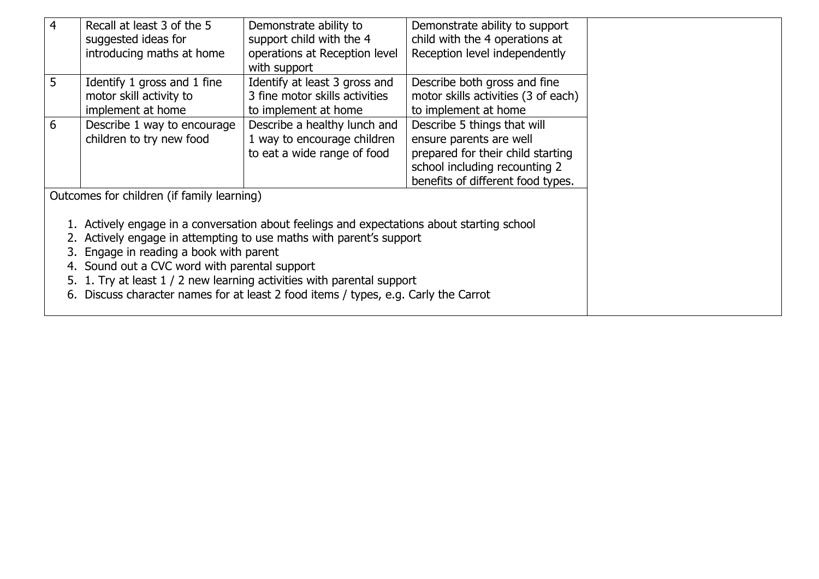| $\overline{4}$ | Recall at least 3 of the 5<br>suggested ideas for<br>introducing maths at home                                                                                                                                                                             | Demonstrate ability to<br>support child with the 4<br>operations at Reception level<br>with support | Demonstrate ability to support<br>child with the 4 operations at<br>Reception level independently                                                                 |  |  |  |
|----------------|------------------------------------------------------------------------------------------------------------------------------------------------------------------------------------------------------------------------------------------------------------|-----------------------------------------------------------------------------------------------------|-------------------------------------------------------------------------------------------------------------------------------------------------------------------|--|--|--|
| 5              | Identify 1 gross and 1 fine<br>motor skill activity to<br>implement at home                                                                                                                                                                                | Identify at least 3 gross and<br>3 fine motor skills activities<br>to implement at home             | Describe both gross and fine<br>motor skills activities (3 of each)<br>to implement at home                                                                       |  |  |  |
| 6              | Describe 1 way to encourage<br>children to try new food                                                                                                                                                                                                    | Describe a healthy lunch and<br>1 way to encourage children<br>to eat a wide range of food          | Describe 5 things that will<br>ensure parents are well<br>prepared for their child starting<br>school including recounting 2<br>benefits of different food types. |  |  |  |
|                | Outcomes for children (if family learning)<br>1. Actively engage in a conversation about feelings and expectations about starting school<br>2. Actively engage in attempting to use maths with parent's support<br>3. Engage in reading a book with parent |                                                                                                     |                                                                                                                                                                   |  |  |  |
|                | 4. Sound out a CVC word with parental support<br>5. 1. Try at least 1 / 2 new learning activities with parental support<br>6. Discuss character names for at least 2 food items / types, e.g. Carly the Carrot                                             |                                                                                                     |                                                                                                                                                                   |  |  |  |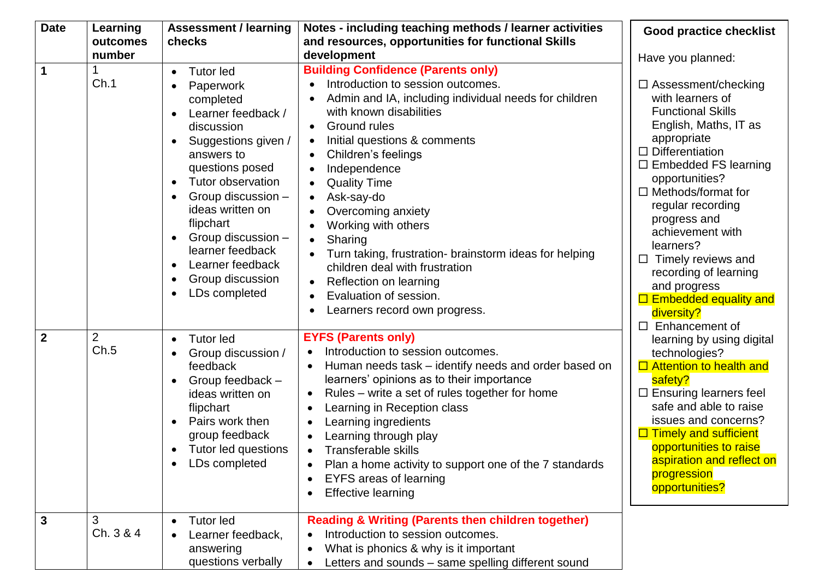| <b>Date</b>    | Learning<br>outcomes   | <b>Assessment / learning</b><br>checks                                                                                                                                                                                                                                                                                                                                                 | Notes - including teaching methods / learner activities<br>and resources, opportunities for functional Skills                                                                                                                                                                                                                                                                                                                                                                                                                                                                                                                      | <b>Good practice checklist</b>                                                                                                                                                                                                                                                                                                                                                                                                               |  |
|----------------|------------------------|----------------------------------------------------------------------------------------------------------------------------------------------------------------------------------------------------------------------------------------------------------------------------------------------------------------------------------------------------------------------------------------|------------------------------------------------------------------------------------------------------------------------------------------------------------------------------------------------------------------------------------------------------------------------------------------------------------------------------------------------------------------------------------------------------------------------------------------------------------------------------------------------------------------------------------------------------------------------------------------------------------------------------------|----------------------------------------------------------------------------------------------------------------------------------------------------------------------------------------------------------------------------------------------------------------------------------------------------------------------------------------------------------------------------------------------------------------------------------------------|--|
|                | number                 |                                                                                                                                                                                                                                                                                                                                                                                        | development                                                                                                                                                                                                                                                                                                                                                                                                                                                                                                                                                                                                                        |                                                                                                                                                                                                                                                                                                                                                                                                                                              |  |
| $\mathbf 1$    | Ch.1                   | <b>Tutor led</b><br>$\bullet$<br>Paperwork<br>completed<br>Learner feedback /<br>discussion<br>Suggestions given /<br>answers to<br>questions posed<br>Tutor observation<br>$\bullet$<br>Group discussion -<br>$\bullet$<br>ideas written on<br>flipchart<br>Group discussion -<br>$\bullet$<br>learner feedback<br>Learner feedback<br>$\bullet$<br>Group discussion<br>LDs completed | <b>Building Confidence (Parents only)</b><br>Introduction to session outcomes.<br>Admin and IA, including individual needs for children<br>with known disabilities<br>Ground rules<br>$\bullet$<br>Initial questions & comments<br>$\bullet$<br>Children's feelings<br>Independence<br>$\bullet$<br><b>Quality Time</b><br>Ask-say-do<br>$\bullet$<br>Overcoming anxiety<br>Working with others<br>Sharing<br>$\bullet$<br>Turn taking, frustration- brainstorm ideas for helping<br>children deal with frustration<br>Reflection on learning<br>$\bullet$<br>Evaluation of session.<br>$\bullet$<br>Learners record own progress. | Have you planned:<br>$\Box$ Assessment/checking<br>with learners of<br><b>Functional Skills</b><br>English, Maths, IT as<br>appropriate<br>$\Box$ Differentiation<br>$\Box$ Embedded FS learning<br>opportunities?<br>$\Box$ Methods/format for<br>regular recording<br>progress and<br>achievement with<br>learners?<br>Timely reviews and<br>$\Box$<br>recording of learning<br>and progress<br>$\Box$ Embedded equality and<br>diversity? |  |
| $\overline{2}$ | $\overline{2}$<br>Ch.5 | <b>Tutor led</b><br>$\bullet$<br>Group discussion /<br>feedback<br>Group feedback -<br>ideas written on<br>flipchart<br>Pairs work then<br>group feedback<br>Tutor led questions<br>LDs completed<br>$\bullet$                                                                                                                                                                         | <b>EYFS (Parents only)</b><br>Introduction to session outcomes.<br>Human needs task - identify needs and order based on<br>$\bullet$<br>learners' opinions as to their importance<br>Rules – write a set of rules together for home<br>$\bullet$<br>Learning in Reception class<br>Learning ingredients<br>Learning through play<br><b>Transferable skills</b><br>$\bullet$<br>Plan a home activity to support one of the 7 standards<br>$\bullet$<br><b>EYFS areas of learning</b><br><b>Effective learning</b>                                                                                                                   | Enhancement of<br>□<br>learning by using digital<br>technologies?<br>$\Box$ Attention to health and<br>safety?<br>$\Box$ Ensuring learners feel<br>safe and able to raise<br>issues and concerns?<br>$\Box$ Timely and sufficient<br>opportunities to raise<br>aspiration and reflect on<br>progression<br>opportunities?                                                                                                                    |  |
| $\overline{3}$ | 3<br>Ch. 3 & 4         | <b>Tutor led</b><br>Learner feedback,<br>answering<br>questions verbally                                                                                                                                                                                                                                                                                                               | <b>Reading &amp; Writing (Parents then children together)</b><br>Introduction to session outcomes.<br>What is phonics & why is it important<br>Letters and sounds – same spelling different sound                                                                                                                                                                                                                                                                                                                                                                                                                                  |                                                                                                                                                                                                                                                                                                                                                                                                                                              |  |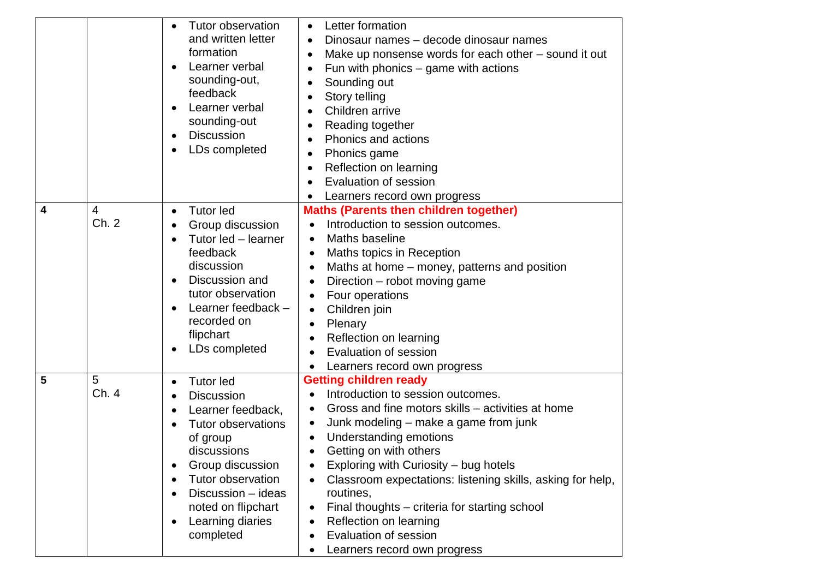|   |       | Tutor observation<br>$\bullet$<br>and written letter<br>formation<br>Learner verbal<br>$\bullet$<br>sounding-out,<br>feedback<br>Learner verbal<br>$\bullet$<br>sounding-out<br><b>Discussion</b><br>$\bullet$<br>LDs completed | Letter formation<br>$\bullet$<br>Dinosaur names - decode dinosaur names<br>Make up nonsense words for each other – sound it out<br>Fun with phonics $-$ game with actions<br>Sounding out<br>Story telling<br>Children arrive<br>Reading together<br>Phonics and actions<br>Phonics game<br>Reflection on learning<br>Evaluation of session<br>Learners record own progress |
|---|-------|---------------------------------------------------------------------------------------------------------------------------------------------------------------------------------------------------------------------------------|-----------------------------------------------------------------------------------------------------------------------------------------------------------------------------------------------------------------------------------------------------------------------------------------------------------------------------------------------------------------------------|
| 4 | 4     | <b>Tutor led</b>                                                                                                                                                                                                                | <b>Maths (Parents then children together)</b>                                                                                                                                                                                                                                                                                                                               |
|   | Ch. 2 | $\bullet$                                                                                                                                                                                                                       |                                                                                                                                                                                                                                                                                                                                                                             |
|   |       | Group discussion<br>$\bullet$                                                                                                                                                                                                   | Introduction to session outcomes.                                                                                                                                                                                                                                                                                                                                           |
|   |       | Tutor led - learner                                                                                                                                                                                                             | Maths baseline<br>$\bullet$                                                                                                                                                                                                                                                                                                                                                 |
|   |       | feedback                                                                                                                                                                                                                        | Maths topics in Reception                                                                                                                                                                                                                                                                                                                                                   |
|   |       | discussion                                                                                                                                                                                                                      | Maths at home – money, patterns and position                                                                                                                                                                                                                                                                                                                                |
|   |       | Discussion and<br>$\bullet$<br>tutor observation                                                                                                                                                                                | Direction – robot moving game<br>$\bullet$                                                                                                                                                                                                                                                                                                                                  |
|   |       | Learner feedback -                                                                                                                                                                                                              | Four operations<br>$\bullet$                                                                                                                                                                                                                                                                                                                                                |
|   |       | recorded on                                                                                                                                                                                                                     | Children join<br>$\bullet$                                                                                                                                                                                                                                                                                                                                                  |
|   |       | flipchart                                                                                                                                                                                                                       | Plenary<br>$\bullet$                                                                                                                                                                                                                                                                                                                                                        |
|   |       | LDs completed                                                                                                                                                                                                                   | Reflection on learning                                                                                                                                                                                                                                                                                                                                                      |
|   |       |                                                                                                                                                                                                                                 | Evaluation of session                                                                                                                                                                                                                                                                                                                                                       |
|   |       |                                                                                                                                                                                                                                 | Learners record own progress                                                                                                                                                                                                                                                                                                                                                |
| 5 | 5     | <b>Tutor led</b><br>$\bullet$                                                                                                                                                                                                   | <b>Getting children ready</b>                                                                                                                                                                                                                                                                                                                                               |
|   | Ch. 4 | <b>Discussion</b><br>$\bullet$                                                                                                                                                                                                  | Introduction to session outcomes.                                                                                                                                                                                                                                                                                                                                           |
|   |       | Learner feedback,<br>٠                                                                                                                                                                                                          | Gross and fine motors skills – activities at home<br>٠                                                                                                                                                                                                                                                                                                                      |
|   |       | <b>Tutor observations</b>                                                                                                                                                                                                       | Junk modeling – make a game from junk                                                                                                                                                                                                                                                                                                                                       |
|   |       | of group                                                                                                                                                                                                                        | Understanding emotions                                                                                                                                                                                                                                                                                                                                                      |
|   |       | discussions                                                                                                                                                                                                                     | Getting on with others                                                                                                                                                                                                                                                                                                                                                      |
|   |       | Group discussion<br>о                                                                                                                                                                                                           | Exploring with Curiosity – bug hotels                                                                                                                                                                                                                                                                                                                                       |
|   |       | Tutor observation<br>$\bullet$                                                                                                                                                                                                  | Classroom expectations: listening skills, asking for help,                                                                                                                                                                                                                                                                                                                  |
|   |       | Discussion - ideas<br>$\bullet$                                                                                                                                                                                                 | routines,                                                                                                                                                                                                                                                                                                                                                                   |
|   |       | noted on flipchart                                                                                                                                                                                                              | Final thoughts – criteria for starting school                                                                                                                                                                                                                                                                                                                               |
|   |       | Learning diaries<br>$\bullet$<br>completed                                                                                                                                                                                      | Reflection on learning<br>Evaluation of session                                                                                                                                                                                                                                                                                                                             |
|   |       |                                                                                                                                                                                                                                 |                                                                                                                                                                                                                                                                                                                                                                             |
|   |       |                                                                                                                                                                                                                                 | Learners record own progress                                                                                                                                                                                                                                                                                                                                                |